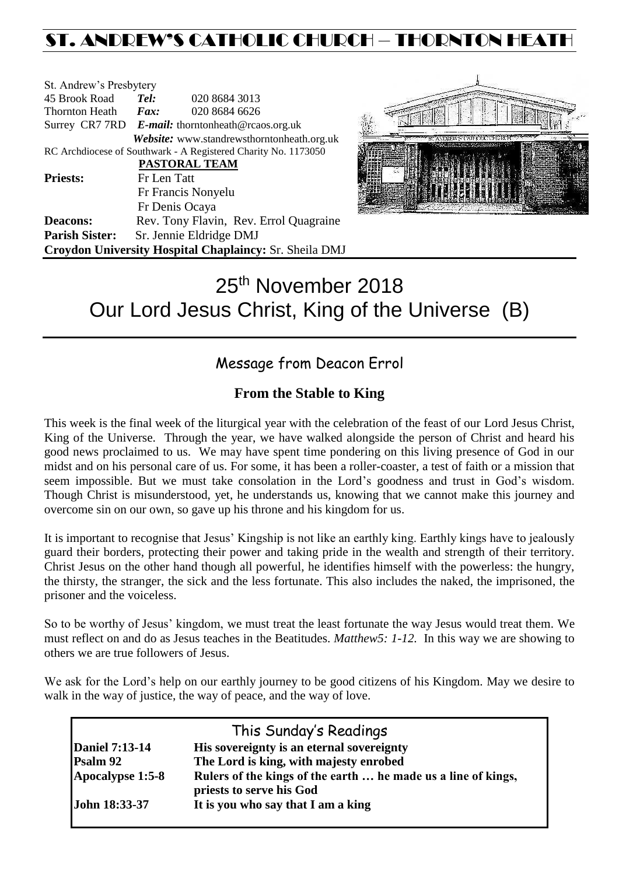# ST. ANDREW'S CATHOLIC CHURCH – THORNTON HEAT

| St. Andrew's Presbytery                                        |                                                   |                         |                                                        |  |  |
|----------------------------------------------------------------|---------------------------------------------------|-------------------------|--------------------------------------------------------|--|--|
| 45 Brook Road                                                  | Tel:                                              | 020 8684 3013           |                                                        |  |  |
| <b>Thornton Heath</b>                                          | Fax:                                              | 020 8684 6626           |                                                        |  |  |
|                                                                | Surrey CR7 7RD E-mail: thorntonheath@rcaos.org.uk |                         |                                                        |  |  |
|                                                                |                                                   |                         | Website: www.standrewsthorntonheath.org.uk             |  |  |
| RC Archdiocese of Southwark - A Registered Charity No. 1173050 |                                                   |                         |                                                        |  |  |
|                                                                |                                                   | <b>PASTORAL TEAM</b>    |                                                        |  |  |
| <b>Priests:</b>                                                | Fr Len Tatt                                       |                         |                                                        |  |  |
|                                                                | Fr Francis Nonyelu                                |                         |                                                        |  |  |
|                                                                |                                                   | Fr Denis Ocaya          |                                                        |  |  |
| <b>Deacons:</b>                                                |                                                   |                         | Rev. Tony Flavin, Rev. Errol Quagraine                 |  |  |
| <b>Parish Sister:</b>                                          |                                                   | Sr. Jennie Eldridge DMJ |                                                        |  |  |
|                                                                |                                                   |                         | Croydon University Hospital Chaplaincy: Sr. Sheila DMJ |  |  |



# 25<sup>th</sup> November 2018 Our Lord Jesus Christ, King of the Universe (B)

# Message from Deacon Errol

# **From the Stable to King**

This week is the final week of the liturgical year with the celebration of the feast of our Lord Jesus Christ, King of the Universe. Through the year, we have walked alongside the person of Christ and heard his good news proclaimed to us. We may have spent time pondering on this living presence of God in our midst and on his personal care of us. For some, it has been a roller-coaster, a test of faith or a mission that seem impossible. But we must take consolation in the Lord's goodness and trust in God's wisdom. Though Christ is misunderstood, yet, he understands us, knowing that we cannot make this journey and overcome sin on our own, so gave up his throne and his kingdom for us.

It is important to recognise that Jesus' Kingship is not like an earthly king. Earthly kings have to jealously guard their borders, protecting their power and taking pride in the wealth and strength of their territory. Christ Jesus on the other hand though all powerful, he identifies himself with the powerless: the hungry, the thirsty, the stranger, the sick and the less fortunate. This also includes the naked, the imprisoned, the prisoner and the voiceless.

So to be worthy of Jesus' kingdom, we must treat the least fortunate the way Jesus would treat them. We must reflect on and do as Jesus teaches in the Beatitudes. *Matthew5: 1-12.* In this way we are showing to others we are true followers of Jesus.

We ask for the Lord's help on our earthly journey to be good citizens of his Kingdom. May we desire to walk in the way of justice, the way of peace, and the way of love.

|                       | This Sunday's Readings                                                                    |
|-----------------------|-------------------------------------------------------------------------------------------|
| <b>Daniel 7:13-14</b> | His sovereignty is an eternal sovereignty                                                 |
| Psalm 92              | The Lord is king, with majesty enrobed                                                    |
| Apocalypse 1:5-8      | Rulers of the kings of the earth  he made us a line of kings,<br>priests to serve his God |
| <b>John 18:33-37</b>  | It is you who say that I am a king                                                        |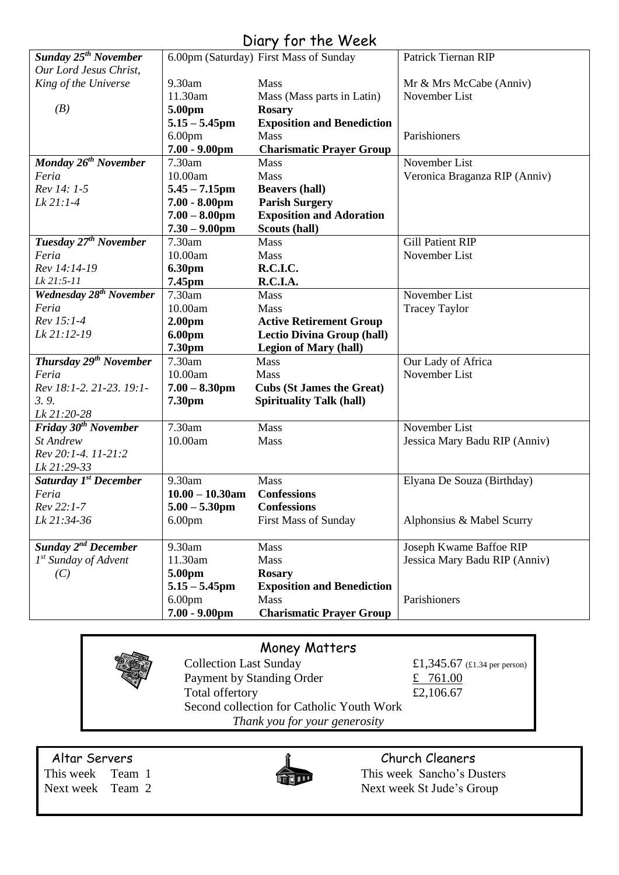| <b>Sunday 25<sup>th</sup> November</b> |                    | <b>UNITY IVI INC WEEK</b><br>6.00pm (Saturday) First Mass of Sunday | Patrick Tiernan RIP                      |
|----------------------------------------|--------------------|---------------------------------------------------------------------|------------------------------------------|
| Our Lord Jesus Christ,                 |                    |                                                                     |                                          |
|                                        | 9.30am             |                                                                     |                                          |
| King of the Universe                   | 11.30am            | <b>Mass</b>                                                         | Mr & Mrs McCabe (Anniv)<br>November List |
|                                        |                    | Mass (Mass parts in Latin)                                          |                                          |
| (B)                                    | 5.00pm             | <b>Rosary</b>                                                       |                                          |
|                                        | $5.15 - 5.45$ pm   | <b>Exposition and Benediction</b>                                   |                                          |
|                                        | 6.00 <sub>pm</sub> | <b>Mass</b>                                                         | Parishioners                             |
|                                        | $7.00 - 9.00$ pm   | <b>Charismatic Prayer Group</b>                                     |                                          |
| Monday 26 <sup>th</sup> November       | 7.30am             | <b>Mass</b>                                                         | November List                            |
| Feria                                  | 10.00am            | Mass                                                                | Veronica Braganza RIP (Anniv)            |
| Rev 14: 1-5                            | $5.45 - 7.15$ pm   | <b>Beavers (hall)</b>                                               |                                          |
| Lk 21:1-4                              | $7.00 - 8.00$ pm   | <b>Parish Surgery</b>                                               |                                          |
|                                        | $7.00 - 8.00$ pm   | <b>Exposition and Adoration</b>                                     |                                          |
|                                        | $7.30 - 9.00$ pm   | Scouts (hall)                                                       |                                          |
| Tuesday 27 <sup>th</sup> November      | 7.30am             | <b>Mass</b>                                                         | <b>Gill Patient RIP</b>                  |
| Feria                                  | 10.00am            | <b>Mass</b>                                                         | November List                            |
| Rev 14:14-19                           | <b>6.30pm</b>      | R.C.I.C.                                                            |                                          |
| Lk 21:5-11                             | 7.45pm             | R.C.I.A.                                                            |                                          |
| <b>Wednesday 28th November</b>         | 7.30am             | Mass                                                                | November List                            |
| Feria                                  | 10.00am            | Mass                                                                | <b>Tracey Taylor</b>                     |
| Rev 15:1-4                             | 2.00 <sub>pm</sub> | <b>Active Retirement Group</b>                                      |                                          |
| Lk 21:12-19                            | 6.00pm             | <b>Lectio Divina Group (hall)</b>                                   |                                          |
|                                        | 7.30pm             | <b>Legion of Mary (hall)</b>                                        |                                          |
| Thursday 29 <sup>th</sup> November     | 7.30am             | <b>Mass</b>                                                         | Our Lady of Africa                       |
| Feria                                  | 10.00am            | Mass                                                                | November List                            |
| Rev 18:1-2. 21-23. 19:1-               | $7.00 - 8.30$ pm   | <b>Cubs (St James the Great)</b>                                    |                                          |
| 3.9.                                   | 7.30pm             | <b>Spirituality Talk (hall)</b>                                     |                                          |
| Lk 21:20-28                            |                    |                                                                     |                                          |
| Friday 30 <sup>th</sup> November       | 7.30am             | <b>Mass</b>                                                         | November List                            |
| St Andrew                              | 10.00am            | Mass                                                                | Jessica Mary Badu RIP (Anniv)            |
| Rev 20:1-4. 11-21:2                    |                    |                                                                     |                                          |
| Lk 21:29-33                            |                    |                                                                     |                                          |
| Saturday 1 <sup>st</sup> December      | 9.30am             | Mass                                                                | Elyana De Souza (Birthday)               |
| Feria                                  | $10.00 - 10.30$ am | <b>Confessions</b>                                                  |                                          |
| Rev 22:1-7                             | $5.00 - 5.30$ pm   | <b>Confessions</b>                                                  |                                          |
| Lk 21:34-36                            | 6.00 <sub>pm</sub> | <b>First Mass of Sunday</b>                                         | Alphonsius & Mabel Scurry                |
|                                        |                    |                                                                     |                                          |
| Sunday 2 <sup>nd</sup> December        | 9.30am             | Mass                                                                | Joseph Kwame Baffoe RIP                  |
| $1st$ Sunday of Advent                 | 11.30am            | Mass                                                                | Jessica Mary Badu RIP (Anniv)            |
| (C)                                    |                    | <b>Rosary</b>                                                       |                                          |
|                                        | 5.00pm             |                                                                     |                                          |
|                                        | $5.15 - 5.45$ pm   | <b>Exposition and Benediction</b>                                   |                                          |
|                                        | 6.00 <sub>pm</sub> | Mass                                                                | Parishioners                             |
|                                        |                    |                                                                     |                                          |

## Diary for the Week

### Money Matters

Collection Last Sunday  $£1,345.67$  (£1.34 per person) Payment by Standing Order  $\frac{2}{x}$  761.00 Total offertory  $£2,106.67$ Second collection for Catholic Youth Work *Thank you for your generosity*

Altar Servers and the church Cleaners and the Church Cleaners



This week Team 1 This week Sancho's Dusters Next week Team 2 Next week St Jude's Group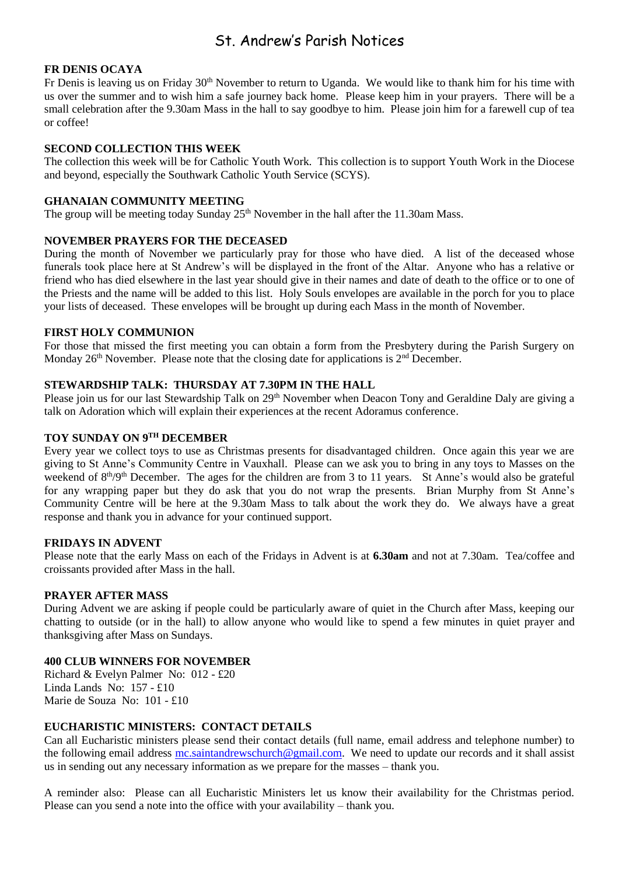## St. Andrew's Parish Notices

#### **FR DENIS OCAYA**

Fr Denis is leaving us on Friday 30<sup>th</sup> November to return to Uganda. We would like to thank him for his time with us over the summer and to wish him a safe journey back home. Please keep him in your prayers. There will be a small celebration after the 9.30am Mass in the hall to say goodbye to him. Please join him for a farewell cup of tea or coffee!

#### **SECOND COLLECTION THIS WEEK**

The collection this week will be for Catholic Youth Work. This collection is to support Youth Work in the Diocese and beyond, especially the Southwark Catholic Youth Service (SCYS).

#### **GHANAIAN COMMUNITY MEETING**

The group will be meeting today Sunday  $25<sup>th</sup>$  November in the hall after the 11.30am Mass.

#### **NOVEMBER PRAYERS FOR THE DECEASED**

During the month of November we particularly pray for those who have died. A list of the deceased whose funerals took place here at St Andrew's will be displayed in the front of the Altar. Anyone who has a relative or friend who has died elsewhere in the last year should give in their names and date of death to the office or to one of the Priests and the name will be added to this list. Holy Souls envelopes are available in the porch for you to place your lists of deceased. These envelopes will be brought up during each Mass in the month of November.

#### **FIRST HOLY COMMUNION**

For those that missed the first meeting you can obtain a form from the Presbytery during the Parish Surgery on Monday  $26<sup>th</sup>$  November. Please note that the closing date for applications is  $2<sup>nd</sup>$  December.

#### **STEWARDSHIP TALK: THURSDAY AT 7.30PM IN THE HALL**

Please join us for our last Stewardship Talk on 29<sup>th</sup> November when Deacon Tony and Geraldine Daly are giving a talk on Adoration which will explain their experiences at the recent Adoramus conference.

#### **TOY SUNDAY ON 9TH DECEMBER**

Every year we collect toys to use as Christmas presents for disadvantaged children. Once again this year we are giving to St Anne's Community Centre in Vauxhall. Please can we ask you to bring in any toys to Masses on the weekend of  $8<sup>th</sup>/9<sup>th</sup>$  December. The ages for the children are from 3 to 11 years. St Anne's would also be grateful for any wrapping paper but they do ask that you do not wrap the presents. Brian Murphy from St Anne's Community Centre will be here at the 9.30am Mass to talk about the work they do. We always have a great response and thank you in advance for your continued support.

#### **FRIDAYS IN ADVENT**

Please note that the early Mass on each of the Fridays in Advent is at **6.30am** and not at 7.30am. Tea/coffee and croissants provided after Mass in the hall.

#### **PRAYER AFTER MASS**

During Advent we are asking if people could be particularly aware of quiet in the Church after Mass, keeping our chatting to outside (or in the hall) to allow anyone who would like to spend a few minutes in quiet prayer and thanksgiving after Mass on Sundays.

#### **400 CLUB WINNERS FOR NOVEMBER**

Richard & Evelyn Palmer No: 012 - £20 Linda Lands No: 157 - £10 Marie de Souza No: 101 - £10

#### **EUCHARISTIC MINISTERS: CONTACT DETAILS**

Can all Eucharistic ministers please send their contact details (full name, email address and telephone number) to the following email address [mc.saintandrewschurch@gmail.com.](mailto:mc.saintandrewschurch@gmail.com) We need to update our records and it shall assist us in sending out any necessary information as we prepare for the masses – thank you.

A reminder also: Please can all Eucharistic Ministers let us know their availability for the Christmas period. Please can you send a note into the office with your availability – thank you.